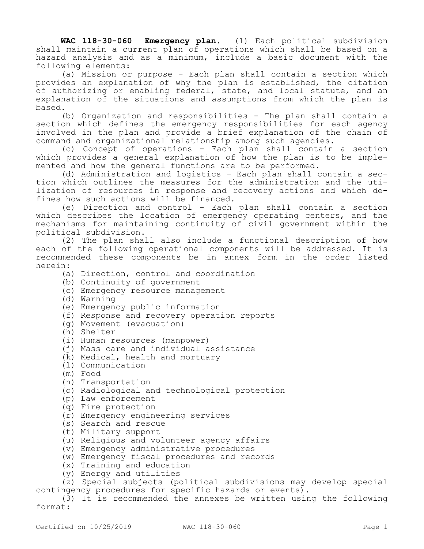**WAC 118-30-060 Emergency plan.** (1) Each political subdivision shall maintain a current plan of operations which shall be based on a hazard analysis and as a minimum, include a basic document with the following elements:

(a) Mission or purpose - Each plan shall contain a section which provides an explanation of why the plan is established, the citation of authorizing or enabling federal, state, and local statute, and an explanation of the situations and assumptions from which the plan is based.

(b) Organization and responsibilities - The plan shall contain a section which defines the emergency responsibilities for each agency involved in the plan and provide a brief explanation of the chain of command and organizational relationship among such agencies.

(c) Concept of operations - Each plan shall contain a section which provides a general explanation of how the plan is to be implemented and how the general functions are to be performed.

(d) Administration and logistics - Each plan shall contain a section which outlines the measures for the administration and the utilization of resources in response and recovery actions and which defines how such actions will be financed.

(e) Direction and control - Each plan shall contain a section which describes the location of emergency operating centers, and the mechanisms for maintaining continuity of civil government within the political subdivision.

(2) The plan shall also include a functional description of how each of the following operational components will be addressed. It is recommended these components be in annex form in the order listed herein:

(a) Direction, control and coordination

- (b) Continuity of government
- (c) Emergency resource management
- (d) Warning
- (e) Emergency public information
- (f) Response and recovery operation reports
- (g) Movement (evacuation)
- (h) Shelter
- (i) Human resources (manpower)
- (j) Mass care and individual assistance
- (k) Medical, health and mortuary
- (l) Communication
- (m) Food
- (n) Transportation
- (o) Radiological and technological protection
- (p) Law enforcement
- (q) Fire protection
- (r) Emergency engineering services
- (s) Search and rescue
- (t) Military support
- (u) Religious and volunteer agency affairs
- (v) Emergency administrative procedures
- (w) Emergency fiscal procedures and records
- (x) Training and education
- (y) Energy and utilities

(z) Special subjects (political subdivisions may develop special contingency procedures for specific hazards or events).

(3) It is recommended the annexes be written using the following format: